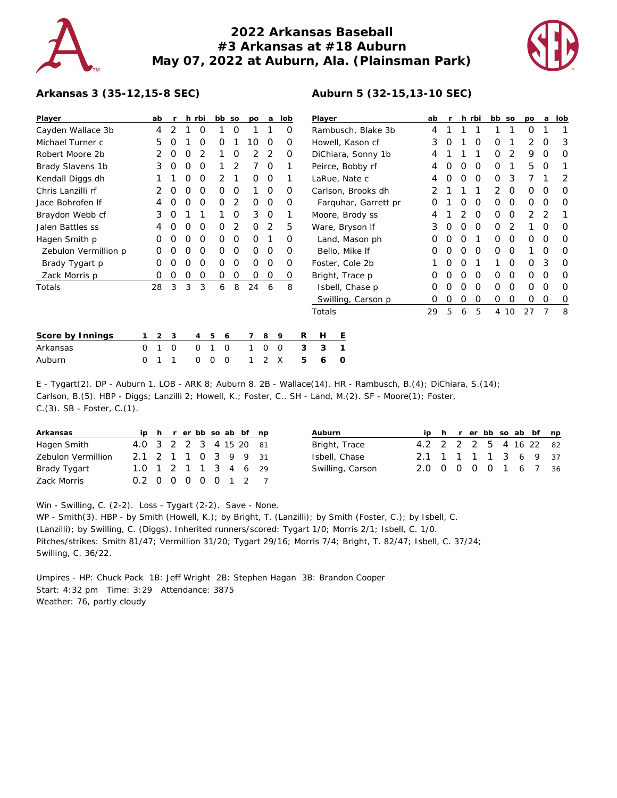# **2022 Arkansas Baseball #3 Arkansas at #18 Auburn May 07, 2022 at Auburn, Ala. (Plainsman Park)**



### **Arkansas 3 (35-12,15-8 SEC)**

| Player               |          | ab |   |   | h rbi          |   | bb so | po       | a        | lob         |   | Player             |                      |   | ab |          |   | h rbi    | bb so    |      | po       | a | lob |
|----------------------|----------|----|---|---|----------------|---|-------|----------|----------|-------------|---|--------------------|----------------------|---|----|----------|---|----------|----------|------|----------|---|-----|
| Cayden Wallace 3b    |          | 4  | 2 |   | 0              |   | 0     |          |          | O           |   | Rambusch, Blake 3b |                      |   | 4  |          |   |          |          |      | $\Omega$ |   |     |
| Michael Turner c     |          | 5  | O |   | O              | Ő |       | 10       | 0        | O           |   | Howell, Kason cf   |                      |   | 3  |          |   | 0        | 0        |      | 2        | O | 3   |
| Robert Moore 2b      |          | 2  | 0 | Ο |                |   | O     | 2        | 2        | $\Omega$    |   | DiChiara, Sonny 1b |                      |   | 4  |          |   |          | 0        | 2    | 9        | O | O   |
| Brady Slavens 1b     |          | 3  | Ο | 0 | O              |   | 2     |          | 0        |             |   | Peirce, Bobby rf   |                      |   | 4  |          | O | 0        | 0        |      | 5        | O |     |
| Kendall Diggs dh     |          |    |   | Ο | O              | 2 |       | 0        | 0        |             |   | LaRue, Nate c      |                      |   | 4  |          | O | $\Omega$ | 0        | 3    |          |   | 2   |
| Chris Lanzilli rf    |          |    | O | Ο | O              | 0 | 0     |          | 0        | O           |   |                    | Carlson, Brooks dh   |   |    |          |   |          | 2        | 0    | 0        | O | 0   |
| Jace Bohrofen If     |          |    | Ο | 0 | 0              | 0 | 2     | 0        | 0        | O           |   |                    | Farquhar, Garrett pr |   |    |          |   | O        | 0        | 0    | $\Omega$ | ∩ | 0   |
| Braydon Webb cf      |          | 3  | O |   |                |   | 0     | 3        | 0        |             |   |                    | Moore, Brody ss      |   | 4  |          |   | O        | O        | 0    | 2        |   |     |
| Jalen Battles ss     |          |    |   | Ω | O              | Ο | 2     | 0        | 2        | 5           |   | Ware, Bryson If    |                      | 3 |    | O        | O | O        | 2        |      |          | Ο |     |
| Hagen Smith p        |          | 0  | 0 | Ο | 0              | 0 | 0     | O        |          | 0           |   |                    | Land, Mason ph       |   | O  | $\left($ | O |          | 0        | 0    | 0        | 0 | 0   |
| Zebulon Vermillion p |          | Ω  | O | Ο | O              | O | O     | $\Omega$ | 0        | O           |   |                    | Bello, Mike If       |   | O  |          | O | $\Omega$ | O        | O    |          | O | 0   |
| Brady Tygart p       |          | Ο  | Ο | Ω | O              | 0 | 0     | 0        | $\Omega$ | O           |   |                    | Foster, Cole 2b      |   |    | $\left($ | O |          |          | 0    | $\Omega$ | 3 | O   |
| Zack Morris p        |          | O  | Ο | Ο | 0              | 0 | 0     | 0        | 0        | 0           |   |                    | Bright, Trace p      |   |    |          |   | O        | 0        | 0    | O        | O | 0   |
| Totals               |          | 28 | 3 | 3 | 3              | 6 | 8     | 24       | 6        | 8           |   |                    | Isbell, Chase p      |   | O  | O        | O | $\Omega$ | $\Omega$ | 0    | $\Omega$ | 0 | 0   |
|                      |          |    |   |   |                |   |       |          |          |             |   |                    | Swilling, Carson p   |   | 0  | 0        | 0 | 0        | 0        | 0    | 0        | 0 | O   |
|                      |          |    |   |   |                |   |       |          |          |             |   | Totals             |                      |   | 29 | 5        | 6 | 5        |          | 4 10 | 27       | 7 | 8   |
| Score by Innings     |          | 2  | 3 |   | $\overline{4}$ | 5 | 6     |          | 8        | 9           | R | Н                  | Ε                    |   |    |          |   |          |          |      |          |   |     |
| Arkansas             | $\Omega$ |    | O |   | $\Omega$       |   | 0     |          | $\Omega$ | $\mathbf 0$ | 3 | 3                  | 1                    |   |    |          |   |          |          |      |          |   |     |
| Auburn               | $\Omega$ |    |   |   | 0              | 0 | 0     |          | 2        | X           | 5 | 6                  | O                    |   |    |          |   |          |          |      |          |   |     |

E - Tygart(2). DP - Auburn 1. LOB - ARK 8; Auburn 8. 2B - Wallace(14). HR - Rambusch, B.(4); DiChiara, S.(14); Carlson, B.(5). HBP - Diggs; Lanzilli 2; Howell, K.; Foster, C.. SH - Land, M.(2). SF - Moore(1); Foster, C.(3). SB - Foster, C.(1).

| Arkansas           |                        |  |  |  | ip h r er bb so ab bf np |  |
|--------------------|------------------------|--|--|--|--------------------------|--|
| Hagen Smith        | 4.0 3 2 2 3 4 15 20 81 |  |  |  |                          |  |
| Zebulon Vermillion | 2.1 2 1 1 0 3 9 9 31   |  |  |  |                          |  |
| Brady Tygart       | 1.0 1 2 1 1 3 4 6 29   |  |  |  |                          |  |
| Zack Morris        | 0.2 0 0 0 0 0 1 2 7    |  |  |  |                          |  |

| Auburn           |                        |  |  |  | ip h r er bb so ab bf np |  |
|------------------|------------------------|--|--|--|--------------------------|--|
| Bright, Trace    | 4.2 2 2 2 5 4 16 22 82 |  |  |  |                          |  |
| Isbell, Chase    | 2.1 1 1 1 1 3 6 9 37   |  |  |  |                          |  |
| Swilling, Carson | 2.0 0 0 0 0 1 6 7 36   |  |  |  |                          |  |
|                  |                        |  |  |  |                          |  |

Win - Swilling, C. (2-2). Loss - Tygart (2-2). Save - None.

WP - Smith(3). HBP - by Smith (Howell, K.); by Bright, T. (Lanzilli); by Smith (Foster, C.); by Isbell, C. (Lanzilli); by Swilling, C. (Diggs). Inherited runners/scored: Tygart 1/0; Morris 2/1; Isbell, C. 1/0. Pitches/strikes: Smith 81/47; Vermillion 31/20; Tygart 29/16; Morris 7/4; Bright, T. 82/47; Isbell, C. 37/24; Swilling, C. 36/22.

Umpires - HP: Chuck Pack 1B: Jeff Wright 2B: Stephen Hagan 3B: Brandon Cooper Start: 4:32 pm Time: 3:29 Attendance: 3875 Weather: 76, partly cloudy

### **Auburn 5 (32-15,13-10 SEC)**